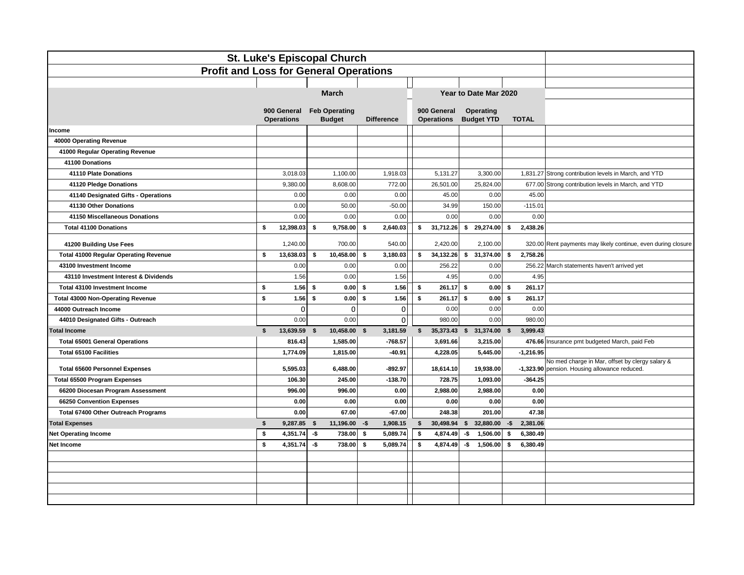| St. Luke's Episcopal Church                   |                                  |          |                                       |      |                   |  |                                  |     |                                |              |              |                                                               |  |  |
|-----------------------------------------------|----------------------------------|----------|---------------------------------------|------|-------------------|--|----------------------------------|-----|--------------------------------|--------------|--------------|---------------------------------------------------------------|--|--|
| <b>Profit and Loss for General Operations</b> |                                  |          |                                       |      |                   |  |                                  |     |                                |              |              |                                                               |  |  |
|                                               |                                  |          |                                       |      |                   |  |                                  |     |                                |              |              |                                                               |  |  |
|                                               |                                  |          | <b>March</b>                          |      |                   |  |                                  |     | Year to Date Mar 2020          |              |              |                                                               |  |  |
|                                               |                                  |          |                                       |      |                   |  |                                  |     |                                |              |              |                                                               |  |  |
|                                               | 900 General<br><b>Operations</b> |          | <b>Feb Operating</b><br><b>Budget</b> |      | <b>Difference</b> |  | 900 General<br><b>Operations</b> |     | Operating<br><b>Budget YTD</b> |              | <b>TOTAL</b> |                                                               |  |  |
| Income                                        |                                  |          |                                       |      |                   |  |                                  |     |                                |              |              |                                                               |  |  |
| 40000 Operating Revenue                       |                                  |          |                                       |      |                   |  |                                  |     |                                |              |              |                                                               |  |  |
| 41000 Regular Operating Revenue               |                                  |          |                                       |      |                   |  |                                  |     |                                |              |              |                                                               |  |  |
| 41100 Donations                               |                                  |          |                                       |      |                   |  |                                  |     |                                |              |              |                                                               |  |  |
| 41110 Plate Donations                         |                                  | 3,018.03 | 1,100.00                              |      | 1,918.03          |  | 5,131.27                         |     | 3,300.00                       |              |              | 1,831.27 Strong contribution levels in March, and YTD         |  |  |
| 41120 Pledge Donations                        |                                  | 9,380.00 | 8,608.00                              |      | 772.00            |  | 26,501.00                        |     | 25,824.00                      |              |              | 677.00 Strong contribution levels in March, and YTD           |  |  |
| 41140 Designated Gifts - Operations           |                                  | 0.00     | 0.00                                  |      | 0.00              |  | 45.00                            |     | 0.00                           |              | 45.00        |                                                               |  |  |
| 41130 Other Donations                         |                                  | 0.00     | 50.00                                 |      | $-50.00$          |  | 34.99                            |     | 150.00                         |              | $-115.01$    |                                                               |  |  |
| 41150 Miscellaneous Donations                 |                                  | 0.00     | 0.00                                  |      | 0.00              |  | 0.00                             |     | 0.00                           |              | 0.00         |                                                               |  |  |
| <b>Total 41100 Donations</b>                  | \$<br>12,398.03                  |          | 9,758.00<br>\$                        | \$   | 2,640.03          |  | 31,712.26<br>\$                  | \$  | 29,274.00                      | \$           | 2,438.26     |                                                               |  |  |
| 41200 Building Use Fees                       |                                  | 1,240.00 | 700.00                                |      | 540.00            |  | 2,420.00                         |     | 2,100.00                       |              |              | 320.00 Rent payments may likely continue, even during closure |  |  |
| <b>Total 41000 Regular Operating Revenue</b>  | \$<br>13,638.03                  |          | 10,458.00<br>\$                       | -\$  | 3,180.03          |  | 34,132.26<br>\$                  | \$  | 31,374.00                      | \$           | 2,758.26     |                                                               |  |  |
| 43100 Investment Income                       |                                  | 0.00     | 0.00                                  |      | 0.00              |  | 256.22                           |     | 0.00                           |              |              | 256.22 March statements haven't arrived yet                   |  |  |
| 43110 Investment Interest & Dividends         |                                  | 1.56     | 0.00                                  |      | 1.56              |  | 4.95                             |     | 0.00                           |              | 4.95         |                                                               |  |  |
| Total 43100 Investment Income                 | \$                               | 1.56     | \$<br>$0.00$ \$                       |      | 1.56              |  | 261.17<br>\$                     | S.  | 0.00                           | \$           | 261.17       |                                                               |  |  |
| <b>Total 43000 Non-Operating Revenue</b>      | \$                               | 1.56     | \$<br>$0.00$ \$                       |      | 1.56              |  | \$<br>261.17                     | \$  | 0.00                           | \$           | 261.17       |                                                               |  |  |
| 44000 Outreach Income                         |                                  | $\Omega$ | $\Omega$                              |      | $\mathbf{0}$      |  | 0.00                             |     | 0.00                           |              | 0.00         |                                                               |  |  |
| 44010 Designated Gifts - Outreach             |                                  | 0.00     | 0.00                                  |      | 0                 |  | 980.00                           |     | 0.00                           |              | 980.00       |                                                               |  |  |
| <b>Total Income</b>                           | \$<br>13,639.59                  |          | 10,458.00<br>\$                       | -\$  | 3,181.59          |  | 35,373.43 \$ 31,374.00<br>\$     |     |                                | $\mathbf{s}$ | 3,999.43     |                                                               |  |  |
| <b>Total 65001 General Operations</b>         |                                  | 816.43   | 1,585.00                              |      | $-768.57$         |  | 3,691.66                         |     | 3,215.00                       |              |              | 476.66 Insurance pmt budgeted March, paid Feb                 |  |  |
| Total 65100 Facilities                        |                                  | 1,774.09 | 1,815.00                              |      | -40.91            |  | 4,228.05                         |     | 5,445.00                       |              | $-1,216.95$  |                                                               |  |  |
|                                               |                                  |          |                                       |      |                   |  |                                  |     |                                |              |              | No med charge in Mar, offset by clergy salary &               |  |  |
| <b>Total 65600 Personnel Expenses</b>         |                                  | 5,595.03 | 6,488.00                              |      | $-892.97$         |  | 18,614.10                        |     | 19,938.00                      |              |              | -1,323.90 pension. Housing allowance reduced.                 |  |  |
| <b>Total 65500 Program Expenses</b>           |                                  | 106.30   | 245.00                                |      | $-138.70$         |  | 728.75                           |     | 1,093.00                       |              | $-364.25$    |                                                               |  |  |
| 66200 Diocesan Program Assessment             |                                  | 996.00   | 996.00                                |      | 0.00              |  | 2,988.00                         |     | 2,988.00                       |              | 0.00         |                                                               |  |  |
| 66250 Convention Expenses                     |                                  | 0.00     | 0.00                                  |      | 0.00              |  | 0.00                             |     | 0.00                           |              | 0.00         |                                                               |  |  |
| Total 67400 Other Outreach Programs           |                                  | 0.00     | 67.00                                 |      | $-67.00$          |  | 248.38                           |     | 201.00                         |              | 47.38        |                                                               |  |  |
| <b>Total Expenses</b>                         | \$                               | 9,287.85 | 11,196.00<br>\$                       | $-5$ | 1,908.15          |  | 30,498.94 \$ 32,880.00<br>\$     |     |                                | $-5$         | 2,381.06     |                                                               |  |  |
| <b>Net Operating Income</b>                   | \$                               | 4,351.74 | 738.00<br>-\$                         | S.   | 5,089.74          |  | s.<br>4,874.49                   | -\$ | 1,506.00                       | S.           | 6,380.49     |                                                               |  |  |
| <b>Net Income</b>                             | \$                               | 4,351.74 | -\$<br>738.00                         | \$   | 5,089.74          |  | \$<br>4,874.49                   | -\$ | 1,506.00                       | \$           | 6,380.49     |                                                               |  |  |
|                                               |                                  |          |                                       |      |                   |  |                                  |     |                                |              |              |                                                               |  |  |
|                                               |                                  |          |                                       |      |                   |  |                                  |     |                                |              |              |                                                               |  |  |
|                                               |                                  |          |                                       |      |                   |  |                                  |     |                                |              |              |                                                               |  |  |
|                                               |                                  |          |                                       |      |                   |  |                                  |     |                                |              |              |                                                               |  |  |
|                                               |                                  |          |                                       |      |                   |  |                                  |     |                                |              |              |                                                               |  |  |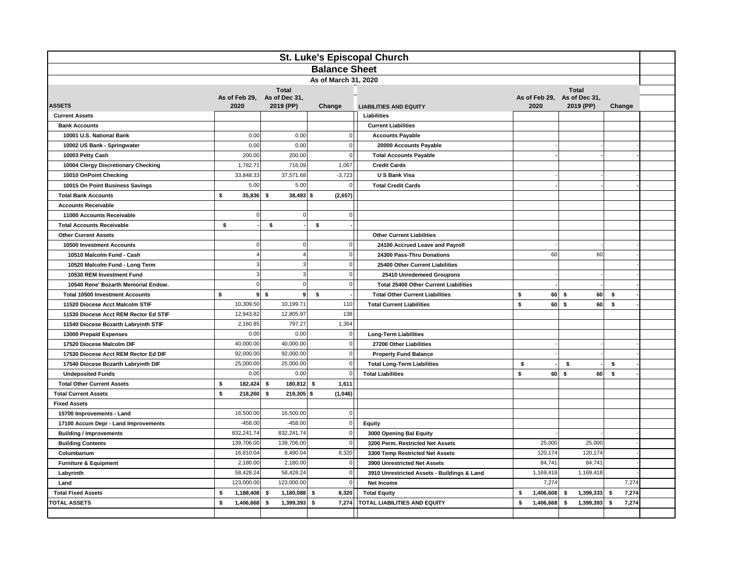| St. Luke's Episcopal Church            |                      |                             |                      |                                              |                                |                    |             |  |
|----------------------------------------|----------------------|-----------------------------|----------------------|----------------------------------------------|--------------------------------|--------------------|-------------|--|
|                                        |                      |                             | <b>Balance Sheet</b> |                                              |                                |                    |             |  |
|                                        | As of March 31, 2020 |                             |                      |                                              |                                |                    |             |  |
|                                        |                      | <b>Total</b>                |                      | <b>Total</b>                                 |                                |                    |             |  |
|                                        |                      | As of Feb 29, As of Dec 31, |                      |                                              | As of Feb 29, As of Dec 31,    |                    |             |  |
| <b>ASSETS</b>                          | 2020                 | 2019 (PP)                   | Change               | <b>LIABILITIES AND EQUITY</b>                | 2020                           | 2019 (PP)          | Change      |  |
| <b>Current Assets</b>                  |                      |                             |                      | Liabilities                                  |                                |                    |             |  |
| <b>Bank Accounts</b>                   |                      |                             |                      | <b>Current Liabilities</b>                   |                                |                    |             |  |
| 10001 U.S. National Bank               | 0.00                 | 0.00                        | $\Omega$             | <b>Accounts Payable</b>                      |                                |                    |             |  |
| 10002 US Bank - Springwater            | 0.00                 | 0.00                        | $\mathbf 0$          | 20000 Accounts Payable                       |                                |                    |             |  |
| 10003 Petty Cash                       | 200.00               | 200.00                      | $\mathbf 0$          | <b>Total Accounts Payable</b>                |                                |                    |             |  |
| 10004 Clergy Discretionary Checking    | 1,782.71             | 716.09                      | 1,067                | <b>Credit Cards</b>                          |                                |                    |             |  |
| 10010 OnPoint Checking                 | 33,848.33            | 37,571.68                   | $-3,723$             | U S Bank Visa                                |                                |                    |             |  |
| 10015 On Point Business Savings        | 5.00                 | 5.00                        | $\overline{0}$       | <b>Total Credit Cards</b>                    |                                |                    |             |  |
| <b>Total Bank Accounts</b>             | \$<br>35,836         | \$<br>$38,493$ \$           | (2,657)              |                                              |                                |                    |             |  |
| <b>Accounts Receivable</b>             |                      |                             |                      |                                              |                                |                    |             |  |
| 11000 Accounts Receivable              | $\Omega$             | $\pmb{0}$                   | $\overline{0}$       |                                              |                                |                    |             |  |
| <b>Total Accounts Receivable</b>       | \$                   | \$                          | \$                   |                                              |                                |                    |             |  |
| <b>Other Current Assets</b>            |                      |                             |                      | <b>Other Current Liabilities</b>             |                                |                    |             |  |
| 10500 Investment Accounts              | $\Omega$             | $\bf 0$                     | $\overline{0}$       | 24100 Accrued Leave and Payroll              |                                |                    |             |  |
| 10510 Malcolm Fund - Cash              |                      | $\overline{4}$              | $\overline{0}$       | 24300 Pass-Thru Donations                    | 60                             | 60                 |             |  |
| 10520 Malcolm Fund - Long Term         | 3                    | $\mathsf 3$                 | $\overline{0}$       | 25400 Other Current Liabilities              |                                |                    |             |  |
| 10530 REM Investment Fund              |                      | $\mathsf 3$                 | $\overline{0}$       | 25410 Unredemeed Groupons                    |                                |                    |             |  |
| 10540 Rene' Bozarth Memorial Endow.    | $\Omega$             | $\mathbf 0$                 | $\overline{0}$       | <b>Total 25400 Other Current Liabilities</b> |                                |                    |             |  |
| <b>Total 10500 Investment Accounts</b> | \$<br>9              | \$<br>9 <sup>1</sup>        | \$                   | <b>Total Other Current Liabilities</b>       | \$                             | $60 \mid$ \$<br>60 | \$          |  |
| 11520 Diocese Acct Malcolm STIF        | 10,309.50            | 10,199.71                   | 110                  | <b>Total Current Liabilities</b>             | \$<br>60                       | $\mathbf{s}$<br>60 | \$          |  |
| 11530 Diocese Acct REM Rector Ed STIF  | 12,943.82            | 12,805.97                   | 138                  |                                              |                                |                    |             |  |
| 11540 Diocese Bozarth Labryinth STIF   | 2,160.85             | 797.27                      | 1,364                |                                              |                                |                    |             |  |
| 13000 Prepaid Expenses                 | 0.00                 | 0.00                        | $\mathbf 0$          | <b>Long-Term Liabilities</b>                 |                                |                    |             |  |
| 17520 Diocese Malcolm DIF              | 40,000.00            | 40,000.00                   | $\overline{0}$       | 27200 Other Liabilities                      |                                |                    |             |  |
| 17530 Diocese Acct REM Rector Ed DIF   | 92,000.00            | 92,000.00                   | 0                    | <b>Property Fund Balance</b>                 |                                |                    |             |  |
| 17540 Diocese Bozarth Labryinth DIF    | 25,000.00            | 25,000.00                   | 0                    | <b>Total Long-Term Liabilities</b>           | \$<br>$\overline{\phantom{a}}$ | \$                 | \$          |  |
| <b>Undeposited Funds</b>               | 0.00                 | 0.00                        | $\Omega$             | <b>Total Liabilities</b>                     | \$<br>60                       | s.<br>60           | \$          |  |
| <b>Total Other Current Assets</b>      | \$<br>182,424        | 180,812 \$<br>\$            | 1,611                |                                              |                                |                    |             |  |
| <b>Total Current Assets</b>            | \$<br>218,260        | 219,305 \$<br>\$            | (1,046)              |                                              |                                |                    |             |  |
| <b>Fixed Assets</b>                    |                      |                             |                      |                                              |                                |                    |             |  |
| 15700 Improvements - Land              | 16,500.00            | 16,500.00                   | 0                    |                                              |                                |                    |             |  |
| 17100 Accum Depr - Land Improvements   | $-458.00$            | $-458.00$                   | $\overline{0}$       | Equity                                       |                                |                    |             |  |
| <b>Building / Improvements</b>         | 832,241.74           | 832,241.74                  | 0                    | 3000 Opening Bal Equity                      |                                |                    |             |  |
| <b>Building Contents</b>               | 139,706.00           | 139,706.00                  | $\mathbf 0$          | 3200 Perm. Restricted Net Assets             | 25,000                         | 25,000             |             |  |
| Columbarium                            | 16,810.04            | 8,490.04                    | 8,320                | 3300 Temp Restricted Net Assets              | 120,174                        | 120,174            |             |  |
| <b>Furniture &amp; Equipment</b>       | 2,180.00             | 2,180.00                    | $\mathbf 0$          | 3900 Unrestricted Net Assets                 | 84,741                         | 84,741             |             |  |
| Labyrinth                              | 58,428.24            | 58,428.24                   | 0                    | 3910 Unrestricted Assets - Buildings & Land  | 1,169,418                      | 1,169,418          |             |  |
| Land                                   | 123,000.00           | 123,000.00                  | $\overline{0}$       | Net Income                                   | 7,274                          |                    | 7,274       |  |
| <b>Total Fixed Assets</b>              | \$<br>1,188,408      | - \$<br>1,180,088           | 8,320<br>- \$        | <b>Total Equity</b>                          | s<br>1,406,608                 | 1,399,333<br>- \$  | \$<br>7,274 |  |
| <b>TOTAL ASSETS</b>                    | \$<br>1,406,668      | \$<br>1,399,393             | - \$<br>7,274        | <b>TOTAL LIABILITIES AND EQUITY</b>          | \$<br>1,406,668                | \$<br>1,399,393    | 7,274<br>\$ |  |
|                                        |                      |                             |                      |                                              |                                |                    |             |  |